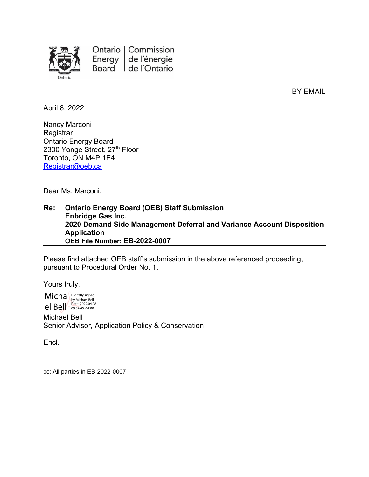

Ontario | Commission Energy  $|$ de l'énergie Board de l'Ontario

BY EMAIL

April 8, 2022

Nancy Marconi **Registrar** Ontario Energy Board 2300 Yonge Street, 27th Floor Toronto, ON M4P 1E4 [Registrar@oeb.ca](mailto:Registrar@oeb.ca)

Dear Ms. Marconi:

**Re: Ontario Energy Board (OEB) Staff Submission Enbridge Gas Inc. 2020 Demand Side Management Deferral and Variance Account Disposition Application OEB File Number: EB-2022-0007**

Please find attached OEB staff's submission in the above referenced proceeding, pursuant to Procedural Order No. 1.

Yours truly,

Micha by Michael Bell el Bell Date: 2022.04.08

Michael Bell Senior Advisor, Application Policy & Conservation

Encl.

cc: All parties in EB-2022-0007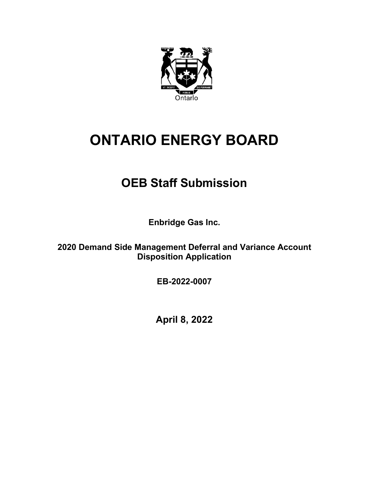

# **ONTARIO ENERGY BOARD**

## **OEB Staff Submission**

**Enbridge Gas Inc.**

**2020 Demand Side Management Deferral and Variance Account Disposition Application**

**EB-2022-0007**

**April 8, 2022**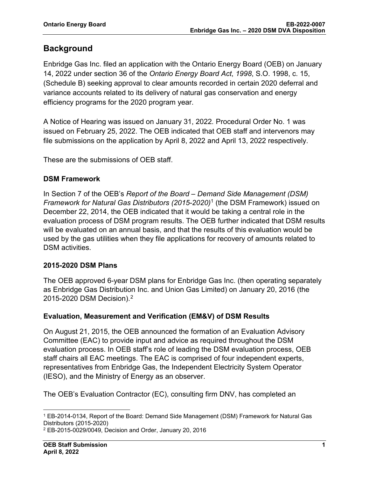## **Background**

Enbridge Gas Inc. filed an application with the Ontario Energy Board (OEB) on January 14, 2022 under section 36 of the *Ontario Energy Board Act*, *1998*, S.O. 1998, c. 15, (Schedule B) seeking approval to clear amounts recorded in certain 2020 deferral and variance accounts related to its delivery of natural gas conservation and energy efficiency programs for the 2020 program year.

A Notice of Hearing was issued on January 31, 2022*.* Procedural Order No. 1 was issued on February 25, 2022. The OEB indicated that OEB staff and intervenors may file submissions on the application by April 8, 2022 and April 13, 2022 respectively.

These are the submissions of OEB staff.

#### **DSM Framework**

In Section 7 of the OEB's *Report of the Board – Demand Side Management (DSM) Framework for Natural Gas Distributors (2015-2020)*[1](#page-2-0) (the DSM Framework) issued on December 22, 2014, the OEB indicated that it would be taking a central role in the evaluation process of DSM program results. The OEB further indicated that DSM results will be evaluated on an annual basis, and that the results of this evaluation would be used by the gas utilities when they file applications for recovery of amounts related to DSM activities.

#### **2015-2020 DSM Plans**

The OEB approved 6-year DSM plans for Enbridge Gas Inc. (then operating separately as Enbridge Gas Distribution Inc. and Union Gas Limited) on January 20, 2016 (the 2015-2020 DSM Decision).[2](#page-2-1)

#### **Evaluation, Measurement and Verification (EM&V) of DSM Results**

On August 21, 2015, the OEB announced the formation of an Evaluation Advisory Committee (EAC) to provide input and advice as required throughout the DSM evaluation process. In OEB staff's role of leading the DSM evaluation process, OEB staff chairs all EAC meetings. The EAC is comprised of four independent experts, representatives from Enbridge Gas, the Independent Electricity System Operator (IESO), and the Ministry of Energy as an observer.

The OEB's Evaluation Contractor (EC), consulting firm DNV, has completed an

<span id="page-2-0"></span><sup>1</sup> EB-2014-0134, Report of the Board: Demand Side Management (DSM) Framework for Natural Gas Distributors (2015-2020)

<span id="page-2-1"></span><sup>2</sup> EB-2015-0029/0049, Decision and Order, January 20, 2016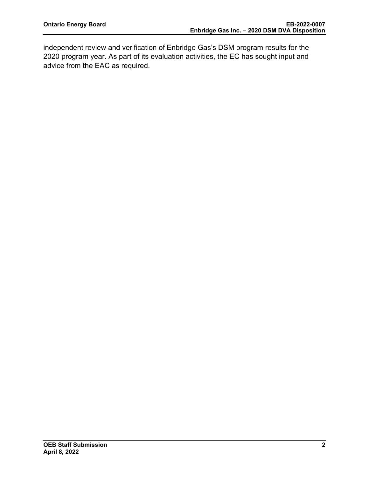independent review and verification of Enbridge Gas's DSM program results for the 2020 program year. As part of its evaluation activities, the EC has sought input and advice from the EAC as required.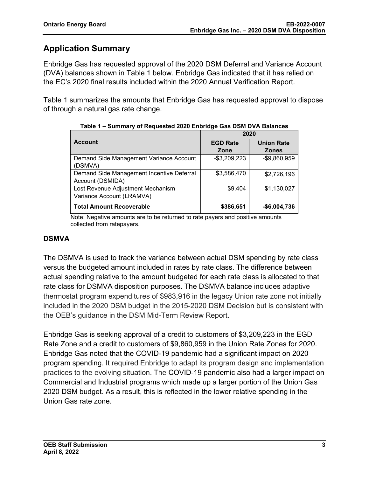## **Application Summary**

Enbridge Gas has requested approval of the 2020 DSM Deferral and Variance Account (DVA) balances shown in Table 1 below. Enbridge Gas indicated that it has relied on the EC's 2020 final results included within the 2020 Annual Verification Report.

Table 1 summarizes the amounts that Enbridge Gas has requested approval to dispose of through a natural gas rate change.

|                                           | 2020            |                   |
|-------------------------------------------|-----------------|-------------------|
| <b>Account</b>                            | <b>EGD Rate</b> | <b>Union Rate</b> |
|                                           | Zone            | <b>Zones</b>      |
| Demand Side Management Variance Account   | $-$3,209,223$   | -\$9,860,959      |
| (DSMVA)                                   |                 |                   |
| Demand Side Management Incentive Deferral | \$3,586,470     | \$2,726,196       |
| Account (DSMIDA)                          |                 |                   |
| Lost Revenue Adjustment Mechanism         | \$9,404         | \$1,130,027       |
| Variance Account (LRAMVA)                 |                 |                   |
| <b>Total Amount Recoverable</b>           | \$386,651       | $-$6,004,736$     |

**Table 1 – Summary of Requested 2020 Enbridge Gas DSM DVA Balances**

Note: Negative amounts are to be returned to rate payers and positive amounts collected from ratepayers.

## **DSMVA**

The DSMVA is used to track the variance between actual DSM spending by rate class versus the budgeted amount included in rates by rate class. The difference between actual spending relative to the amount budgeted for each rate class is allocated to that rate class for DSMVA disposition purposes. The DSMVA balance includes adaptive thermostat program expenditures of \$983,916 in the legacy Union rate zone not initially included in the 2020 DSM budget in the 2015-2020 DSM Decision but is consistent with the OEB's guidance in the DSM Mid-Term Review Report.

Enbridge Gas is seeking approval of a credit to customers of \$3,209,223 in the EGD Rate Zone and a credit to customers of \$9,860,959 in the Union Rate Zones for 2020. Enbridge Gas noted that the COVID-19 pandemic had a significant impact on 2020 program spending. It required Enbridge to adapt its program design and implementation practices to the evolving situation. The COVID-19 pandemic also had a larger impact on Commercial and Industrial programs which made up a larger portion of the Union Gas 2020 DSM budget. As a result, this is reflected in the lower relative spending in the Union Gas rate zone.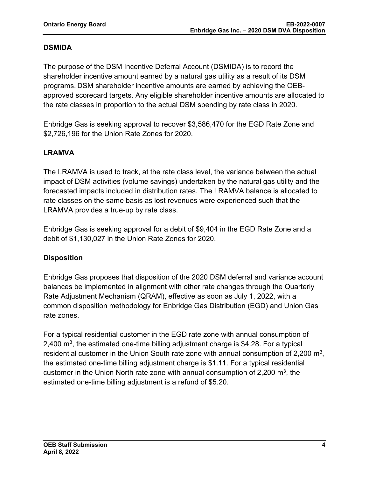## **DSMIDA**

The purpose of the DSM Incentive Deferral Account (DSMIDA) is to record the shareholder incentive amount earned by a natural gas utility as a result of its DSM programs. DSM shareholder incentive amounts are earned by achieving the OEBapproved scorecard targets. Any eligible shareholder incentive amounts are allocated to the rate classes in proportion to the actual DSM spending by rate class in 2020.

Enbridge Gas is seeking approval to recover \$3,586,470 for the EGD Rate Zone and \$2,726,196 for the Union Rate Zones for 2020.

## **LRAMVA**

The LRAMVA is used to track, at the rate class level, the variance between the actual impact of DSM activities (volume savings) undertaken by the natural gas utility and the forecasted impacts included in distribution rates. The LRAMVA balance is allocated to rate classes on the same basis as lost revenues were experienced such that the LRAMVA provides a true-up by rate class.

Enbridge Gas is seeking approval for a debit of \$9,404 in the EGD Rate Zone and a debit of \$1,130,027 in the Union Rate Zones for 2020.

## **Disposition**

Enbridge Gas proposes that disposition of the 2020 DSM deferral and variance account balances be implemented in alignment with other rate changes through the Quarterly Rate Adjustment Mechanism (QRAM), effective as soon as July 1, 2022, with a common disposition methodology for Enbridge Gas Distribution (EGD) and Union Gas rate zones.

For a typical residential customer in the EGD rate zone with annual consumption of 2,400  $\mathrm{m}^3$ , the estimated one-time billing adjustment charge is \$4.28. For a typical residential customer in the Union South rate zone with annual consumption of 2,200 m3, the estimated one-time billing adjustment charge is \$1.11. For a typical residential customer in the Union North rate zone with annual consumption of 2,200  $\mathrm{m}^3$ , the estimated one-time billing adjustment is a refund of \$5.20.